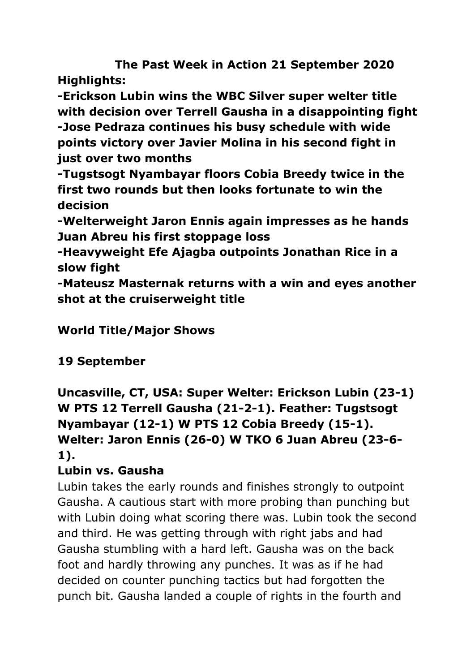**The Past Week in Action 21 September 2020 Highlights:**

**-Erickson Lubin wins the WBC Silver super welter title with decision over Terrell Gausha in a disappointing fight -Jose Pedraza continues his busy schedule with wide points victory over Javier Molina in his second fight in just over two months**

**-Tugstsogt Nyambayar floors Cobia Breedy twice in the first two rounds but then looks fortunate to win the decision**

**-Welterweight Jaron Ennis again impresses as he hands Juan Abreu his first stoppage loss**

**-Heavyweight Efe Ajagba outpoints Jonathan Rice in a slow fight**

**-Mateusz Masternak returns with a win and eyes another shot at the cruiserweight title**

## **World Title/Major Shows**

## **19 September**

**Uncasville, CT, USA: Super Welter: Erickson Lubin (23-1) W PTS 12 Terrell Gausha (21-2-1). Feather: Tugstsogt Nyambayar (12-1) W PTS 12 Cobia Breedy (15-1). Welter: Jaron Ennis (26-0) W TKO 6 Juan Abreu (23-6- 1).**

## **Lubin vs. Gausha**

Lubin takes the early rounds and finishes strongly to outpoint Gausha. A cautious start with more probing than punching but with Lubin doing what scoring there was. Lubin took the second and third. He was getting through with right jabs and had Gausha stumbling with a hard left. Gausha was on the back foot and hardly throwing any punches. It was as if he had decided on counter punching tactics but had forgotten the punch bit. Gausha landed a couple of rights in the fourth and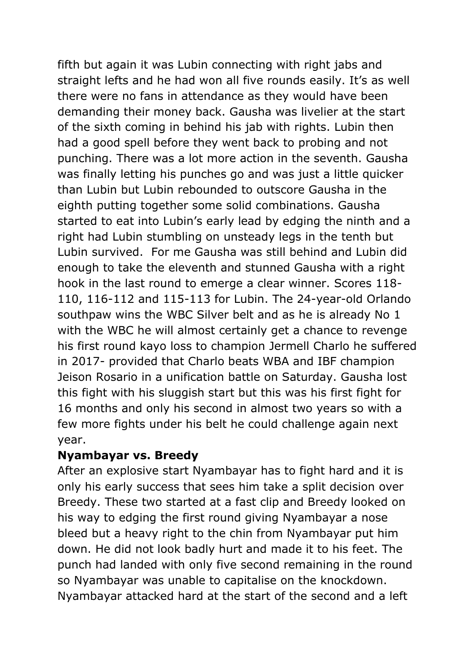fifth but again it was Lubin connecting with right jabs and straight lefts and he had won all five rounds easily. It's as well there were no fans in attendance as they would have been demanding their money back. Gausha was livelier at the start of the sixth coming in behind his jab with rights. Lubin then had a good spell before they went back to probing and not punching. There was a lot more action in the seventh. Gausha was finally letting his punches go and was just a little quicker than Lubin but Lubin rebounded to outscore Gausha in the eighth putting together some solid combinations. Gausha started to eat into Lubin's early lead by edging the ninth and a right had Lubin stumbling on unsteady legs in the tenth but Lubin survived. For me Gausha was still behind and Lubin did enough to take the eleventh and stunned Gausha with a right hook in the last round to emerge a clear winner. Scores 118- 110, 116-112 and 115-113 for Lubin. The 24-year-old Orlando southpaw wins the WBC Silver belt and as he is already No 1 with the WBC he will almost certainly get a chance to revenge his first round kayo loss to champion Jermell Charlo he suffered in 2017- provided that Charlo beats WBA and IBF champion Jeison Rosario in a unification battle on Saturday. Gausha lost this fight with his sluggish start but this was his first fight for 16 months and only his second in almost two years so with a few more fights under his belt he could challenge again next year.

## **Nyambayar vs. Breedy**

After an explosive start Nyambayar has to fight hard and it is only his early success that sees him take a split decision over Breedy. These two started at a fast clip and Breedy looked on his way to edging the first round giving Nyambayar a nose bleed but a heavy right to the chin from Nyambayar put him down. He did not look badly hurt and made it to his feet. The punch had landed with only five second remaining in the round so Nyambayar was unable to capitalise on the knockdown. Nyambayar attacked hard at the start of the second and a left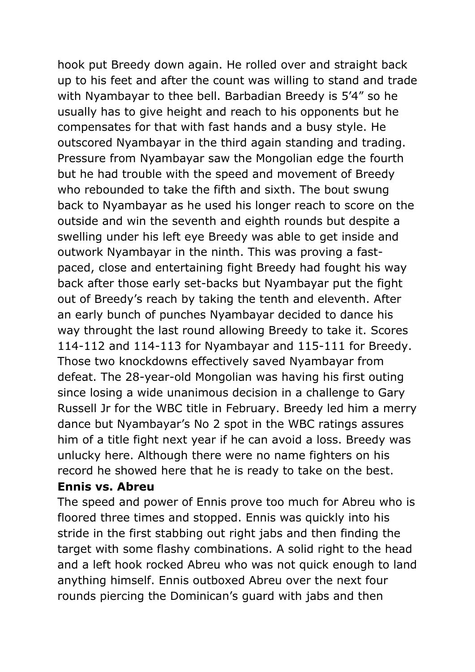hook put Breedy down again. He rolled over and straight back up to his feet and after the count was willing to stand and trade with Nyambayar to thee bell. Barbadian Breedy is 5'4" so he usually has to give height and reach to his opponents but he compensates for that with fast hands and a busy style. He outscored Nyambayar in the third again standing and trading. Pressure from Nyambayar saw the Mongolian edge the fourth but he had trouble with the speed and movement of Breedy who rebounded to take the fifth and sixth. The bout swung back to Nyambayar as he used his longer reach to score on the outside and win the seventh and eighth rounds but despite a swelling under his left eye Breedy was able to get inside and outwork Nyambayar in the ninth. This was proving a fastpaced, close and entertaining fight Breedy had fought his way back after those early set-backs but Nyambayar put the fight out of Breedy's reach by taking the tenth and eleventh. After an early bunch of punches Nyambayar decided to dance his way throught the last round allowing Breedy to take it. Scores 114-112 and 114-113 for Nyambayar and 115-111 for Breedy. Those two knockdowns effectively saved Nyambayar from defeat. The 28-year-old Mongolian was having his first outing since losing a wide unanimous decision in a challenge to Gary Russell Jr for the WBC title in February. Breedy led him a merry dance but Nyambayar's No 2 spot in the WBC ratings assures him of a title fight next year if he can avoid a loss. Breedy was unlucky here. Although there were no name fighters on his record he showed here that he is ready to take on the best.

#### **Ennis vs. Abreu**

The speed and power of Ennis prove too much for Abreu who is floored three times and stopped. Ennis was quickly into his stride in the first stabbing out right jabs and then finding the target with some flashy combinations. A solid right to the head and a left hook rocked Abreu who was not quick enough to land anything himself. Ennis outboxed Abreu over the next four rounds piercing the Dominican's guard with jabs and then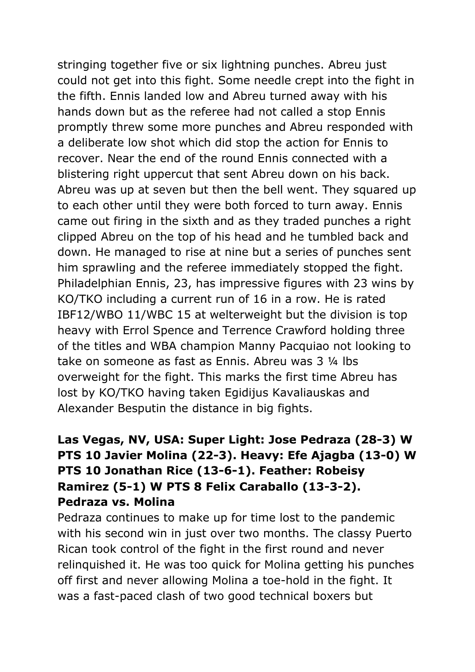stringing together five or six lightning punches. Abreu just could not get into this fight. Some needle crept into the fight in the fifth. Ennis landed low and Abreu turned away with his hands down but as the referee had not called a stop Ennis promptly threw some more punches and Abreu responded with a deliberate low shot which did stop the action for Ennis to recover. Near the end of the round Ennis connected with a blistering right uppercut that sent Abreu down on his back. Abreu was up at seven but then the bell went. They squared up to each other until they were both forced to turn away. Ennis came out firing in the sixth and as they traded punches a right clipped Abreu on the top of his head and he tumbled back and down. He managed to rise at nine but a series of punches sent him sprawling and the referee immediately stopped the fight. Philadelphian Ennis, 23, has impressive figures with 23 wins by KO/TKO including a current run of 16 in a row. He is rated IBF12/WBO 11/WBC 15 at welterweight but the division is top heavy with Errol Spence and Terrence Crawford holding three of the titles and WBA champion Manny Pacquiao not looking to take on someone as fast as Ennis. Abreu was 3 ¼ lbs overweight for the fight. This marks the first time Abreu has lost by KO/TKO having taken Egidijus Kavaliauskas and Alexander Besputin the distance in big fights.

## **Las Vegas, NV, USA: Super Light: Jose Pedraza (28-3) W PTS 10 Javier Molina (22-3). Heavy: Efe Ajagba (13-0) W PTS 10 Jonathan Rice (13-6-1). Feather: Robeisy Ramirez (5-1) W PTS 8 Felix Caraballo (13-3-2). Pedraza vs. Molina**

Pedraza continues to make up for time lost to the pandemic with his second win in just over two months. The classy Puerto Rican took control of the fight in the first round and never relinquished it. He was too quick for Molina getting his punches off first and never allowing Molina a toe-hold in the fight. It was a fast-paced clash of two good technical boxers but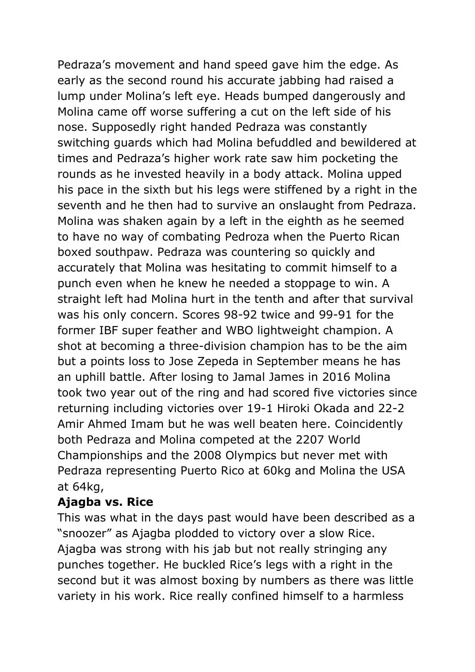Pedraza's movement and hand speed gave him the edge. As early as the second round his accurate jabbing had raised a lump under Molina's left eye. Heads bumped dangerously and Molina came off worse suffering a cut on the left side of his nose. Supposedly right handed Pedraza was constantly switching guards which had Molina befuddled and bewildered at times and Pedraza's higher work rate saw him pocketing the rounds as he invested heavily in a body attack. Molina upped his pace in the sixth but his legs were stiffened by a right in the seventh and he then had to survive an onslaught from Pedraza. Molina was shaken again by a left in the eighth as he seemed to have no way of combating Pedroza when the Puerto Rican boxed southpaw. Pedraza was countering so quickly and accurately that Molina was hesitating to commit himself to a punch even when he knew he needed a stoppage to win. A straight left had Molina hurt in the tenth and after that survival was his only concern. Scores 98-92 twice and 99-91 for the former IBF super feather and WBO lightweight champion. A shot at becoming a three-division champion has to be the aim but a points loss to Jose Zepeda in September means he has an uphill battle. After losing to Jamal James in 2016 Molina took two year out of the ring and had scored five victories since returning including victories over 19-1 Hiroki Okada and 22-2 Amir Ahmed Imam but he was well beaten here. Coincidently both Pedraza and Molina competed at the 2207 World Championships and the 2008 Olympics but never met with Pedraza representing Puerto Rico at 60kg and Molina the USA at 64kg,

## **Ajagba vs. Rice**

This was what in the days past would have been described as a "snoozer" as Ajagba plodded to victory over a slow Rice. Ajagba was strong with his jab but not really stringing any punches together. He buckled Rice's legs with a right in the second but it was almost boxing by numbers as there was little variety in his work. Rice really confined himself to a harmless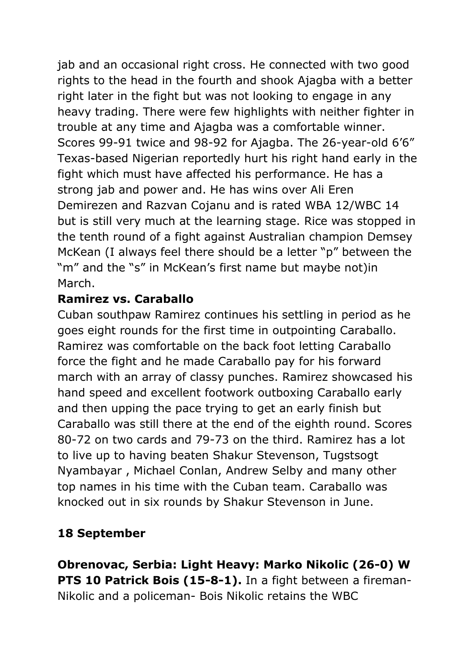jab and an occasional right cross. He connected with two good rights to the head in the fourth and shook Ajagba with a better right later in the fight but was not looking to engage in any heavy trading. There were few highlights with neither fighter in trouble at any time and Ajagba was a comfortable winner. Scores 99-91 twice and 98-92 for Ajagba. The 26-year-old 6'6" Texas-based Nigerian reportedly hurt his right hand early in the fight which must have affected his performance. He has a strong jab and power and. He has wins over Ali Eren Demirezen and Razvan Cojanu and is rated WBA 12/WBC 14 but is still very much at the learning stage. Rice was stopped in the tenth round of a fight against Australian champion Demsey McKean (I always feel there should be a letter "p" between the "m" and the "s" in McKean's first name but maybe not)in March.

## **Ramirez vs. Caraballo**

Cuban southpaw Ramirez continues his settling in period as he goes eight rounds for the first time in outpointing Caraballo. Ramirez was comfortable on the back foot letting Caraballo force the fight and he made Caraballo pay for his forward march with an array of classy punches. Ramirez showcased his hand speed and excellent footwork outboxing Caraballo early and then upping the pace trying to get an early finish but Caraballo was still there at the end of the eighth round. Scores 80-72 on two cards and 79-73 on the third. Ramirez has a lot to live up to having beaten Shakur Stevenson, Tugstsogt Nyambayar , Michael Conlan, Andrew Selby and many other top names in his time with the Cuban team. Caraballo was knocked out in six rounds by Shakur Stevenson in June.

## **18 September**

**Obrenovac, Serbia: Light Heavy: Marko Nikolic (26-0) W PTS 10 Patrick Bois (15-8-1).** In a fight between a fireman-Nikolic and a policeman- Bois Nikolic retains the WBC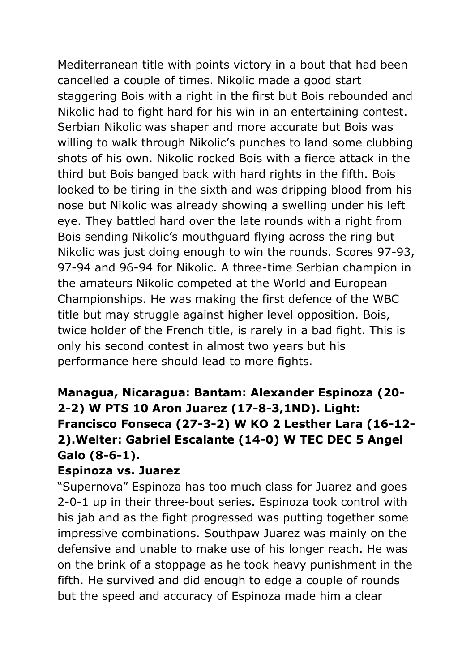Mediterranean title with points victory in a bout that had been cancelled a couple of times. Nikolic made a good start staggering Bois with a right in the first but Bois rebounded and Nikolic had to fight hard for his win in an entertaining contest. Serbian Nikolic was shaper and more accurate but Bois was willing to walk through Nikolic's punches to land some clubbing shots of his own. Nikolic rocked Bois with a fierce attack in the third but Bois banged back with hard rights in the fifth. Bois looked to be tiring in the sixth and was dripping blood from his nose but Nikolic was already showing a swelling under his left eye. They battled hard over the late rounds with a right from Bois sending Nikolic's mouthguard flying across the ring but Nikolic was just doing enough to win the rounds. Scores 97-93, 97-94 and 96-94 for Nikolic. A three-time Serbian champion in the amateurs Nikolic competed at the World and European Championships. He was making the first defence of the WBC title but may struggle against higher level opposition. Bois, twice holder of the French title, is rarely in a bad fight. This is only his second contest in almost two years but his performance here should lead to more fights.

## **Managua, Nicaragua: Bantam: Alexander Espinoza (20- 2-2) W PTS 10 Aron Juarez (17-8-3,1ND). Light: Francisco Fonseca (27-3-2) W KO 2 Lesther Lara (16-12- 2).Welter: Gabriel Escalante (14-0) W TEC DEC 5 Angel Galo (8-6-1).**

### **Espinoza vs. Juarez**

"Supernova" Espinoza has too much class for Juarez and goes 2-0-1 up in their three-bout series. Espinoza took control with his jab and as the fight progressed was putting together some impressive combinations. Southpaw Juarez was mainly on the defensive and unable to make use of his longer reach. He was on the brink of a stoppage as he took heavy punishment in the fifth. He survived and did enough to edge a couple of rounds but the speed and accuracy of Espinoza made him a clear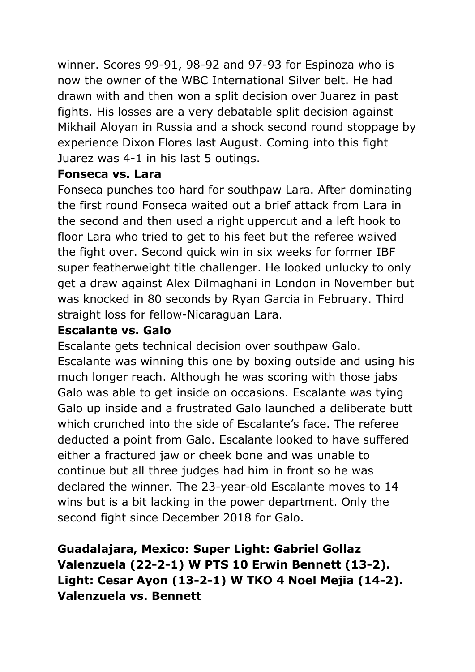winner. Scores 99-91, 98-92 and 97-93 for Espinoza who is now the owner of the WBC International Silver belt. He had drawn with and then won a split decision over Juarez in past fights. His losses are a very debatable split decision against Mikhail Aloyan in Russia and a shock second round stoppage by experience Dixon Flores last August. Coming into this fight Juarez was 4-1 in his last 5 outings.

### **Fonseca vs. Lara**

Fonseca punches too hard for southpaw Lara. After dominating the first round Fonseca waited out a brief attack from Lara in the second and then used a right uppercut and a left hook to floor Lara who tried to get to his feet but the referee waived the fight over. Second quick win in six weeks for former IBF super featherweight title challenger. He looked unlucky to only get a draw against Alex Dilmaghani in London in November but was knocked in 80 seconds by Ryan Garcia in February. Third straight loss for fellow-Nicaraguan Lara.

## **Escalante vs. Galo**

Escalante gets technical decision over southpaw Galo. Escalante was winning this one by boxing outside and using his much longer reach. Although he was scoring with those jabs Galo was able to get inside on occasions. Escalante was tying Galo up inside and a frustrated Galo launched a deliberate butt which crunched into the side of Escalante's face. The referee deducted a point from Galo. Escalante looked to have suffered either a fractured jaw or cheek bone and was unable to continue but all three judges had him in front so he was declared the winner. The 23-year-old Escalante moves to 14 wins but is a bit lacking in the power department. Only the second fight since December 2018 for Galo.

## **Guadalajara, Mexico: Super Light: Gabriel Gollaz Valenzuela (22-2-1) W PTS 10 Erwin Bennett (13-2). Light: Cesar Ayon (13-2-1) W TKO 4 Noel Mejia (14-2). Valenzuela vs. Bennett**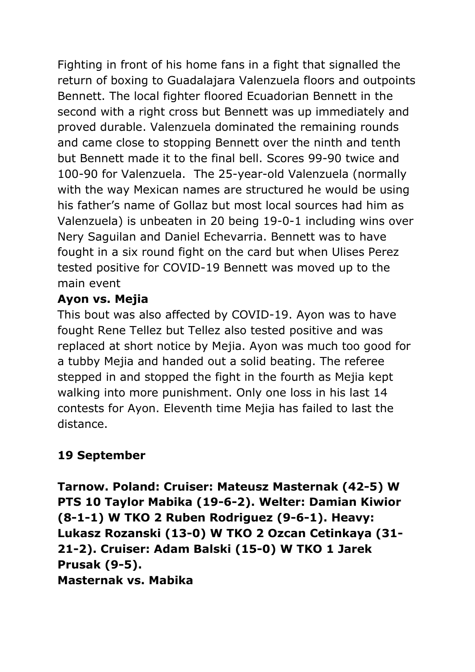Fighting in front of his home fans in a fight that signalled the return of boxing to Guadalajara Valenzuela floors and outpoints Bennett. The local fighter floored Ecuadorian Bennett in the second with a right cross but Bennett was up immediately and proved durable. Valenzuela dominated the remaining rounds and came close to stopping Bennett over the ninth and tenth but Bennett made it to the final bell. Scores 99-90 twice and 100-90 for Valenzuela. The 25-year-old Valenzuela (normally with the way Mexican names are structured he would be using his father's name of Gollaz but most local sources had him as Valenzuela) is unbeaten in 20 being 19-0-1 including wins over Nery Saguilan and Daniel Echevarria. Bennett was to have fought in a six round fight on the card but when Ulises Perez tested positive for COVID-19 Bennett was moved up to the main event

## **Ayon vs. Mejia**

This bout was also affected by COVID-19. Ayon was to have fought Rene Tellez but Tellez also tested positive and was replaced at short notice by Mejia. Ayon was much too good for a tubby Mejia and handed out a solid beating. The referee stepped in and stopped the fight in the fourth as Mejia kept walking into more punishment. Only one loss in his last 14 contests for Ayon. Eleventh time Mejia has failed to last the distance.

## **19 September**

**Tarnow. Poland: Cruiser: Mateusz Masternak (42-5) W PTS 10 Taylor Mabika (19-6-2). Welter: Damian Kiwior (8-1-1) W TKO 2 Ruben Rodriguez (9-6-1). Heavy: Lukasz Rozanski (13-0) W TKO 2 Ozcan Cetinkaya (31- 21-2). Cruiser: Adam Balski (15-0) W TKO 1 Jarek Prusak (9-5). Masternak vs. Mabika**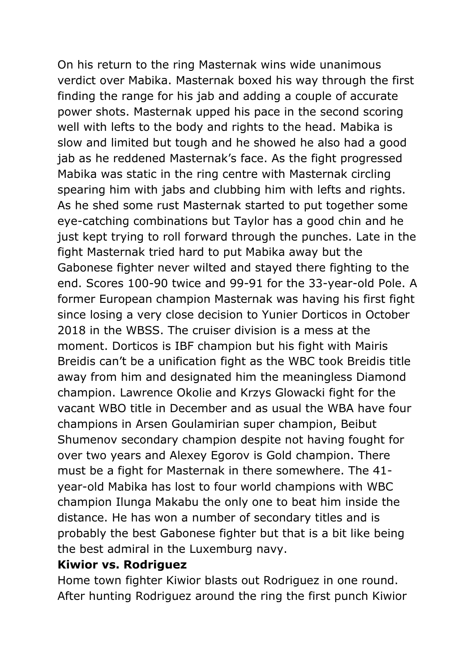On his return to the ring Masternak wins wide unanimous verdict over Mabika. Masternak boxed his way through the first finding the range for his jab and adding a couple of accurate power shots. Masternak upped his pace in the second scoring well with lefts to the body and rights to the head. Mabika is slow and limited but tough and he showed he also had a good jab as he reddened Masternak's face. As the fight progressed Mabika was static in the ring centre with Masternak circling spearing him with jabs and clubbing him with lefts and rights. As he shed some rust Masternak started to put together some eye-catching combinations but Taylor has a good chin and he just kept trying to roll forward through the punches. Late in the fight Masternak tried hard to put Mabika away but the Gabonese fighter never wilted and stayed there fighting to the end. Scores 100-90 twice and 99-91 for the 33-year-old Pole. A former European champion Masternak was having his first fight since losing a very close decision to Yunier Dorticos in October 2018 in the WBSS. The cruiser division is a mess at the moment. Dorticos is IBF champion but his fight with Mairis Breidis can't be a unification fight as the WBC took Breidis title away from him and designated him the meaningless Diamond champion. Lawrence Okolie and Krzys Glowacki fight for the vacant WBO title in December and as usual the WBA have four champions in Arsen Goulamirian super champion, Beibut Shumenov secondary champion despite not having fought for over two years and Alexey Egorov is Gold champion. There must be a fight for Masternak in there somewhere. The 41 year-old Mabika has lost to four world champions with WBC champion Ilunga Makabu the only one to beat him inside the distance. He has won a number of secondary titles and is probably the best Gabonese fighter but that is a bit like being the best admiral in the Luxemburg navy.

### **Kiwior vs. Rodriguez**

Home town fighter Kiwior blasts out Rodriguez in one round. After hunting Rodriguez around the ring the first punch Kiwior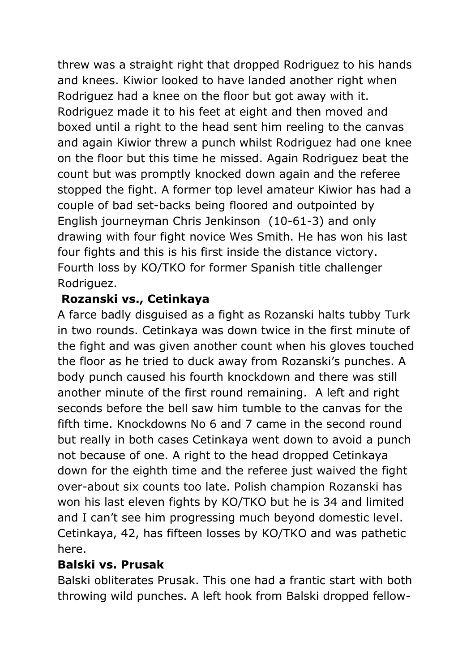threw was a straight right that dropped Rodriguez to his hands and knees. Kiwior looked to have landed another right when Rodriguez had a knee on the floor but got away with it. Rodriguez made it to his feet at eight and then moved and boxed until a right to the head sent him reeling to the canvas and again Kiwior threw a punch whilst Rodriguez had one knee on the floor but this time he missed. Again Rodriguez beat the count but was promptly knocked down again and the referee stopped the fight. A former top level amateur Kiwior has had a couple of bad set-backs being floored and outpointed by English journeyman Chris Jenkinson (10-61-3) and only drawing with four fight novice Wes Smith. He has won his last four fights and this is his first inside the distance victory. Fourth loss by KO/TKO for former Spanish title challenger Rodriguez.

## **Rozanski vs., Cetinkaya**

A farce badly disguised as a fight as Rozanski halts tubby Turk in two rounds. Cetinkaya was down twice in the first minute of the fight and was given another count when his gloves touched the floor as he tried to duck away from Rozanski's punches. A body punch caused his fourth knockdown and there was still another minute of the first round remaining. A left and right seconds before the bell saw him tumble to the canvas for the fifth time. Knockdowns No 6 and 7 came in the second round but really in both cases Cetinkaya went down to avoid a punch not because of one. A right to the head dropped Cetinkaya down for the eighth time and the referee just waived the fight over-about six counts too late. Polish champion Rozanski has won his last eleven fights by KO/TKO but he is 34 and limited and I can't see him progressing much beyond domestic level. Cetinkaya, 42, has fifteen losses by KO/TKO and was pathetic here.

## **Balski vs. Prusak**

Balski obliterates Prusak. This one had a frantic start with both throwing wild punches. A left hook from Balski dropped fellow-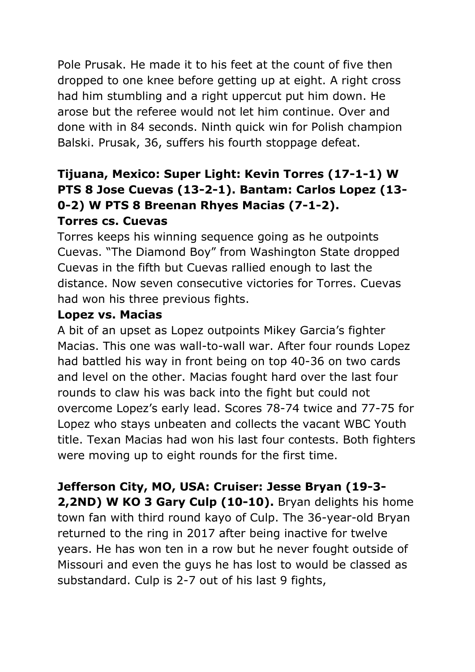Pole Prusak. He made it to his feet at the count of five then dropped to one knee before getting up at eight. A right cross had him stumbling and a right uppercut put him down. He arose but the referee would not let him continue. Over and done with in 84 seconds. Ninth quick win for Polish champion Balski. Prusak, 36, suffers his fourth stoppage defeat.

# **Tijuana, Mexico: Super Light: Kevin Torres (17-1-1) W PTS 8 Jose Cuevas (13-2-1). Bantam: Carlos Lopez (13- 0-2) W PTS 8 Breenan Rhyes Macias (7-1-2).**

## **Torres cs. Cuevas**

Torres keeps his winning sequence going as he outpoints Cuevas. "The Diamond Boy" from Washington State dropped Cuevas in the fifth but Cuevas rallied enough to last the distance. Now seven consecutive victories for Torres. Cuevas had won his three previous fights.

### **Lopez vs. Macias**

A bit of an upset as Lopez outpoints Mikey Garcia's fighter Macias. This one was wall-to-wall war. After four rounds Lopez had battled his way in front being on top 40-36 on two cards and level on the other. Macias fought hard over the last four rounds to claw his was back into the fight but could not overcome Lopez's early lead. Scores 78-74 twice and 77-75 for Lopez who stays unbeaten and collects the vacant WBC Youth title. Texan Macias had won his last four contests. Both fighters were moving up to eight rounds for the first time.

**Jefferson City, MO, USA: Cruiser: Jesse Bryan (19-3-**

**2,2ND) W KO 3 Gary Culp (10-10).** Bryan delights his home town fan with third round kayo of Culp. The 36-year-old Bryan returned to the ring in 2017 after being inactive for twelve years. He has won ten in a row but he never fought outside of Missouri and even the guys he has lost to would be classed as substandard. Culp is 2-7 out of his last 9 fights,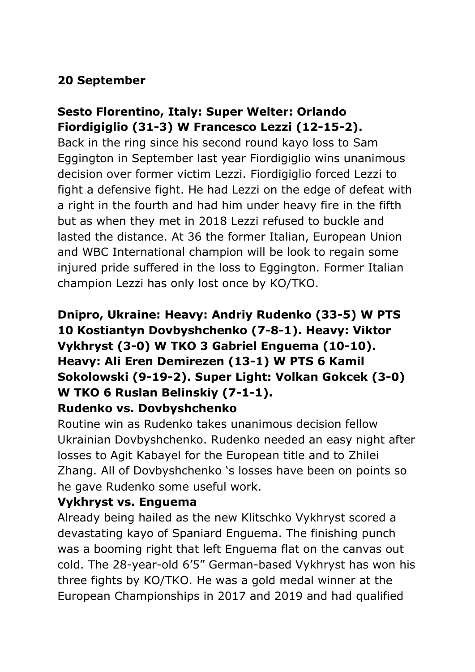## **20 September**

## **Sesto Florentino, Italy: Super Welter: Orlando Fiordigiglio (31-3) W Francesco Lezzi (12-15-2).**

Back in the ring since his second round kayo loss to Sam Eggington in September last year Fiordigiglio wins unanimous decision over former victim Lezzi. Fiordigiglio forced Lezzi to fight a defensive fight. He had Lezzi on the edge of defeat with a right in the fourth and had him under heavy fire in the fifth but as when they met in 2018 Lezzi refused to buckle and lasted the distance. At 36 the former Italian, European Union and WBC International champion will be look to regain some injured pride suffered in the loss to Eggington. Former Italian champion Lezzi has only lost once by KO/TKO.

## **Dnipro, Ukraine: Heavy: Andriy Rudenko (33-5) W PTS 10 Kostiantyn Dovbyshchenko (7-8-1). Heavy: Viktor Vykhryst (3-0) W TKO 3 Gabriel Enguema (10-10). Heavy: Ali Eren Demirezen (13-1) W PTS 6 Kamil Sokolowski (9-19-2). Super Light: Volkan Gokcek (3-0) W TKO 6 Ruslan Belinskiy (7-1-1).**

### **Rudenko vs. Dovbyshchenko**

Routine win as Rudenko takes unanimous decision fellow Ukrainian Dovbyshchenko. Rudenko needed an easy night after losses to Agit Kabayel for the European title and to Zhilei Zhang. All of Dovbyshchenko 's losses have been on points so he gave Rudenko some useful work.

## **Vykhryst vs. Enguema**

Already being hailed as the new Klitschko Vykhryst scored a devastating kayo of Spaniard Enguema. The finishing punch was a booming right that left Enguema flat on the canvas out cold. The 28-year-old 6'5" German-based Vykhryst has won his three fights by KO/TKO. He was a gold medal winner at the European Championships in 2017 and 2019 and had qualified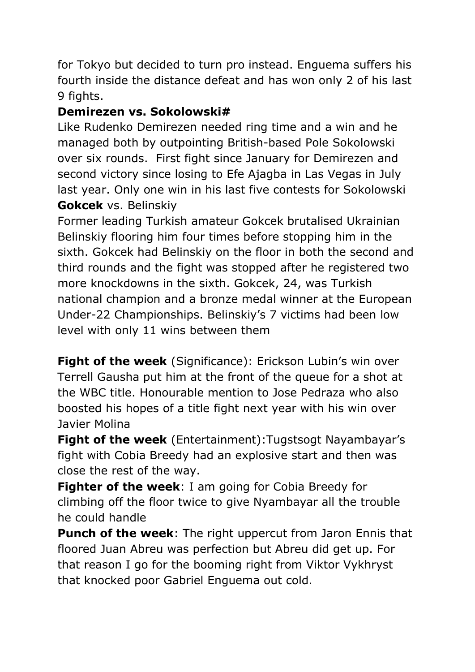for Tokyo but decided to turn pro instead. Enguema suffers his fourth inside the distance defeat and has won only 2 of his last 9 fights.

## **Demirezen vs. Sokolowski#**

Like Rudenko Demirezen needed ring time and a win and he managed both by outpointing British-based Pole Sokolowski over six rounds. First fight since January for Demirezen and second victory since losing to Efe Ajagba in Las Vegas in July last year. Only one win in his last five contests for Sokolowski **Gokcek** vs. Belinskiy

Former leading Turkish amateur Gokcek brutalised Ukrainian Belinskiy flooring him four times before stopping him in the sixth. Gokcek had Belinskiy on the floor in both the second and third rounds and the fight was stopped after he registered two more knockdowns in the sixth. Gokcek, 24, was Turkish national champion and a bronze medal winner at the European Under-22 Championships. Belinskiy's 7 victims had been low level with only 11 wins between them

**Fight of the week** (Significance): Erickson Lubin's win over Terrell Gausha put him at the front of the queue for a shot at the WBC title. Honourable mention to Jose Pedraza who also boosted his hopes of a title fight next year with his win over Javier Molina

**Fight of the week** (Entertainment): Tugstsogt Nayambayar's fight with Cobia Breedy had an explosive start and then was close the rest of the way.

**Fighter of the week**: I am going for Cobia Breedy for climbing off the floor twice to give Nyambayar all the trouble he could handle

**Punch of the week**: The right uppercut from Jaron Ennis that floored Juan Abreu was perfection but Abreu did get up. For that reason I go for the booming right from Viktor Vykhryst that knocked poor Gabriel Enguema out cold.